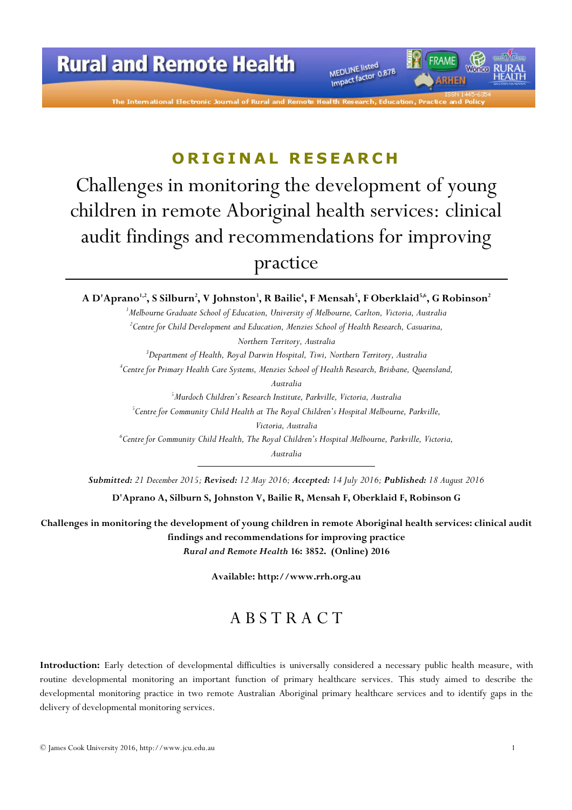The International Electronic Journal of Rural ar

MEDLINE listed MEDLINE listed<br>Impact factor 0.878

# ORIGINAL RESEARCH

Challenges in monitoring the development of young children in remote Aboriginal health services: clinical audit findings and recommendations for improving practice

#### A D'Aprano $^{1,2}$ , S Silburn $^2$ , V Johnston $^3$ , R Bailie $^4$ , F Mensah $^5$ , F Oberklaid $^{5,6}$ , G Robinson $^2$

<sup>1</sup>Melbourne Graduate School of Education, University of Melbourne, Carlton, Victoria, Australia  $\rm ^2$ Centre for Child Development and Education, Menzies School of Health Research, Casuarina, Northern Territory, Australia  $3$ Department of Health, Royal Darwin Hospital, Tiwi, Northern Territory, Australia 4 Centre for Primary Health Care Systems, Menzies School of Health Research, Brisbane, Queensland, Australia <sup>5</sup>Murdoch Children's Research Institute, Parkville, Victoria, Australia  $^5$ Centre for Community Child Health at The Royal Children's Hospital Melbourne, Parkville, Victoria, Australia  $^6$ Centre for Community Child Health, The Royal Children's Hospital Melbourne, Parkville, Victoria,

Australia

Submitted: 21 December 2015; Revised: 12 May 2016; Accepted: 14 July 2016; Published: 18 August 2016

D'Aprano A, Silburn S, Johnston V, Bailie R, Mensah F, Oberklaid F, Robinson G

Challenges in monitoring the development of young children in remote Aboriginal health services: clinical audit findings and recommendations for improving practice Rural and Remote Health 16: 3852. (Online) 2016

Available: http://www.rrh.org.au

# A B S T R A C T

Introduction: Early detection of developmental difficulties is universally considered a necessary public health measure, with routine developmental monitoring an important function of primary healthcare services. This study aimed to describe the developmental monitoring practice in two remote Australian Aboriginal primary healthcare services and to identify gaps in the delivery of developmental monitoring services.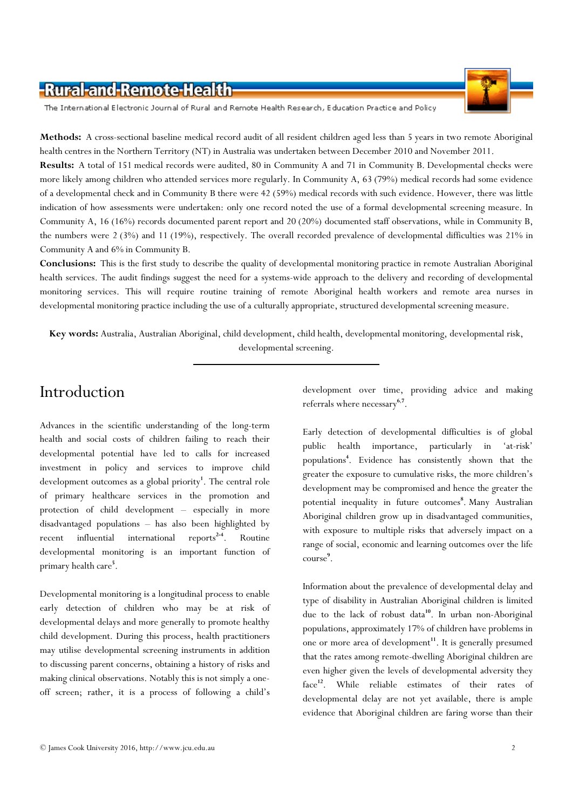The International Electronic Journal of Rural and Remote Health Research, Education Practice and Policy

Methods: A cross-sectional baseline medical record audit of all resident children aged less than 5 years in two remote Aboriginal health centres in the Northern Territory (NT) in Australia was undertaken between December 2010 and November 2011.

Results: A total of 151 medical records were audited, 80 in Community A and 71 in Community B. Developmental checks were more likely among children who attended services more regularly. In Community A, 63 (79%) medical records had some evidence of a developmental check and in Community B there were 42 (59%) medical records with such evidence. However, there was little indication of how assessments were undertaken: only one record noted the use of a formal developmental screening measure. In Community A, 16 (16%) records documented parent report and 20 (20%) documented staff observations, while in Community B, the numbers were 2 (3%) and 11 (19%), respectively. The overall recorded prevalence of developmental difficulties was 21% in Community A and 6% in Community B.

Conclusions: This is the first study to describe the quality of developmental monitoring practice in remote Australian Aboriginal health services. The audit findings suggest the need for a systems-wide approach to the delivery and recording of developmental monitoring services. This will require routine training of remote Aboriginal health workers and remote area nurses in developmental monitoring practice including the use of a culturally appropriate, structured developmental screening measure.

Key words: Australia, Australian Aboriginal, child development, child health, developmental monitoring, developmental risk, developmental screening.

### Introduction

Advances in the scientific understanding of the long-term health and social costs of children failing to reach their developmental potential have led to calls for increased investment in policy and services to improve child development outcomes as a global priority<sup>1</sup>. The central role of primary healthcare services in the promotion and protection of child development – especially in more disadvantaged populations – has also been highlighted by recent influential international reports<sup>2-4</sup>. Routine developmental monitoring is an important function of primary health care<sup>5</sup>.

Developmental monitoring is a longitudinal process to enable early detection of children who may be at risk of developmental delays and more generally to promote healthy child development. During this process, health practitioners may utilise developmental screening instruments in addition to discussing parent concerns, obtaining a history of risks and making clinical observations. Notably this is not simply a oneoff screen; rather, it is a process of following a child's

development over time, providing advice and making referrals where necessary<sup>6,7</sup>.

Early detection of developmental difficulties is of global public health importance, particularly in 'at-risk' populations<sup>4</sup> . Evidence has consistently shown that the greater the exposure to cumulative risks, the more children's development may be compromised and hence the greater the potential inequality in future outcomes<sup>8</sup>. Many Australian Aboriginal children grow up in disadvantaged communities, with exposure to multiple risks that adversely impact on a range of social, economic and learning outcomes over the life course 9 .

Information about the prevalence of developmental delay and type of disability in Australian Aboriginal children is limited due to the lack of robust data<sup>10</sup>. In urban non-Aboriginal populations, approximately 17% of children have problems in one or more area of development<sup>11</sup>. It is generally presumed that the rates among remote-dwelling Aboriginal children are even higher given the levels of developmental adversity they face<sup>12</sup>. While reliable estimates of their rates of developmental delay are not yet available, there is ample evidence that Aboriginal children are faring worse than their

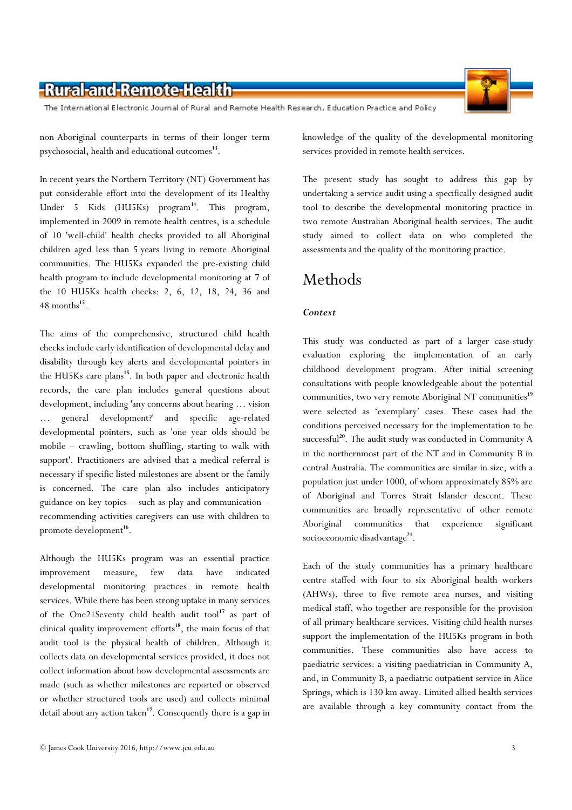#### put considerable effort into the development of its Healthy

Under 5 Kids (HU5Ks) program <sup>14</sup>. This program, implemented in 2009 in remote health centres, is a schedule of 10 'well-child' health checks provided to all Aboriginal children aged less than 5 years living in remote Aboriginal communities. The HU5Ks expanded the pre-existing child health program to include developmental monitoring at 7 of the 10 HU5Ks health checks: 2, 6, 12, 18, 24, 36 and  $48$  months<sup>15</sup>.

non-Aboriginal counterparts in terms of their longer term

In recent years the Northern Territory (NT) Government has

The aims of the comprehensive, structured child health checks include early identification of developmental delay and disability through key alerts and developmental pointers in the HU5Ks care plans<sup>15</sup>. In both paper and electronic health records, the care plan includes general questions about development, including 'any concerns about hearing … vision … general development?' and specific age-related developmental pointers, such as 'one year olds should be mobile – crawling, bottom shuffling, starting to walk with support'. Practitioners are advised that a medical referral is necessary if specific listed milestones are absent or the family is concerned. The care plan also includes anticipatory guidance on key topics – such as play and communication – recommending activities caregivers can use with children to promote development<sup>16</sup>.

Although the HU5Ks program was an essential practice improvement measure, few data have indicated developmental monitoring practices in remote health services. While there has been strong uptake in many services of the One21Seventy child health audit tool<sup>17</sup> as part of clinical quality improvement efforts<sup>18</sup>, the main focus of that audit tool is the physical health of children. Although it collects data on developmental services provided, it does not collect information about how developmental assessments are made (such as whether milestones are reported or observed or whether structured tools are used) and collects minimal detail about any action taken<sup>17</sup>. Consequently there is a gap in

© James Cook University 2016, http://www.jcu.edu.au 3

knowledge of the quality of the developmental monitoring services provided in remote health services.

The present study has sought to address this gap by undertaking a service audit using a specifically designed audit tool to describe the developmental monitoring practice in two remote Australian Aboriginal health services. The audit study aimed to collect data on who completed the assessments and the quality of the monitoring practice.

#### Methods

#### **Context**

This study was conducted as part of a larger case-study evaluation exploring the implementation of an early childhood development program. After initial screening consultations with people knowledgeable about the potential communities, two very remote Aboriginal NT communities<sup>19</sup> were selected as 'exemplary' cases. These cases had the conditions perceived necessary for the implementation to be successful<sup>20</sup>. The audit study was conducted in Community A in the northernmost part of the NT and in Community B in central Australia. The communities are similar in size, with a population just under 1000, of whom approximately 85% are of Aboriginal and Torres Strait Islander descent. These communities are broadly representative of other remote Aboriginal communities that experience significant socioeconomic disadvantage<sup>21</sup>.

Each of the study communities has a primary healthcare centre staffed with four to six Aboriginal health workers (AHWs), three to five remote area nurses, and visiting medical staff, who together are responsible for the provision of all primary healthcare services. Visiting child health nurses support the implementation of the HU5Ks program in both communities. These communities also have access to paediatric services: a visiting paediatrician in Community A, and, in Community B, a paediatric outpatient service in Alice Springs, which is 130 km away. Limited allied health services are available through a key community contact from the



# -Rural-and-Remote-Health

psychosocial, health and educational outcomes<sup>13</sup>.

The International Electronic Journal of Rural and Remote Health Research, Education Practice and Policy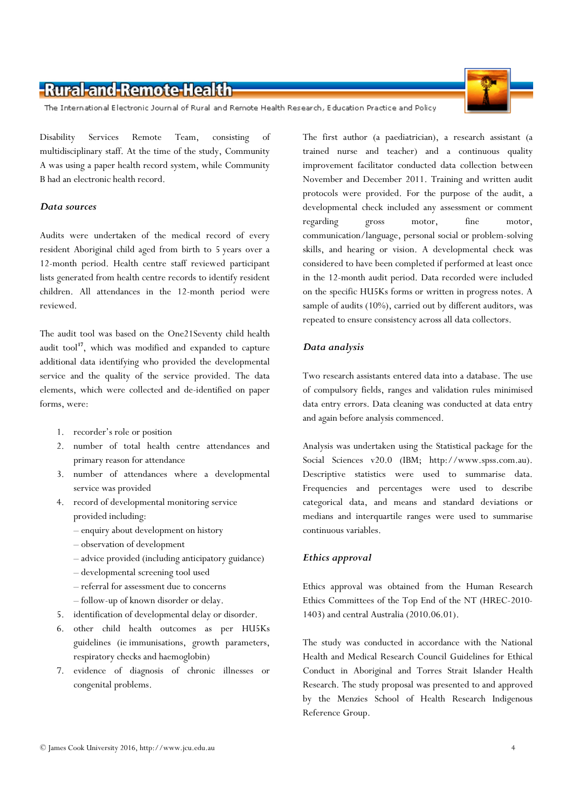The International Electronic Journal of Rural and Remote Health Research, Education Practice and Policy

Disability Services Remote Team, consisting of multidisciplinary staff. At the time of the study, Community A was using a paper health record system, while Community B had an electronic health record.

#### Data sources

Audits were undertaken of the medical record of every resident Aboriginal child aged from birth to 5 years over a 12-month period. Health centre staff reviewed participant lists generated from health centre records to identify resident children. All attendances in the 12-month period were reviewed.

The audit tool was based on the One21Seventy child health audit tool $17$ , which was modified and expanded to capture additional data identifying who provided the developmental service and the quality of the service provided. The data elements, which were collected and de-identified on paper forms, were:

- 1. recorder's role or position
- 2. number of total health centre attendances and primary reason for attendance
- 3. number of attendances where a developmental service was provided
- 4. record of developmental monitoring service provided including:
	- enquiry about development on history
	- observation of development
	- advice provided (including anticipatory guidance)
	- developmental screening tool used
	- referral for assessment due to concerns
	- follow-up of known disorder or delay.
- 5. identification of developmental delay or disorder.
- 6. other child health outcomes as per HU5Ks guidelines (ie immunisations, growth parameters, respiratory checks and haemoglobin)
- 7. evidence of diagnosis of chronic illnesses or congenital problems.

The first author (a paediatrician), a research assistant (a trained nurse and teacher) and a continuous quality improvement facilitator conducted data collection between November and December 2011. Training and written audit protocols were provided. For the purpose of the audit, a developmental check included any assessment or comment regarding gross motor, fine motor, communication/language, personal social or problem-solving skills, and hearing or vision. A developmental check was considered to have been completed if performed at least once in the 12-month audit period. Data recorded were included on the specific HU5Ks forms or written in progress notes. A sample of audits (10%), carried out by different auditors, was repeated to ensure consistency across all data collectors.

#### Data analysis

Two research assistants entered data into a database. The use of compulsory fields, ranges and validation rules minimised data entry errors. Data cleaning was conducted at data entry and again before analysis commenced.

Analysis was undertaken using the Statistical package for the Social Sciences v20.0 (IBM; http://www.spss.com.au). Descriptive statistics were used to summarise data. Frequencies and percentages were used to describe categorical data, and means and standard deviations or medians and interquartile ranges were used to summarise continuous variables.

#### Ethics approval

Ethics approval was obtained from the Human Research Ethics Committees of the Top End of the NT (HREC-2010- 1403) and central Australia (2010.06.01).

The study was conducted in accordance with the National Health and Medical Research Council Guidelines for Ethical Conduct in Aboriginal and Torres Strait Islander Health Research. The study proposal was presented to and approved by the Menzies School of Health Research Indigenous Reference Group.

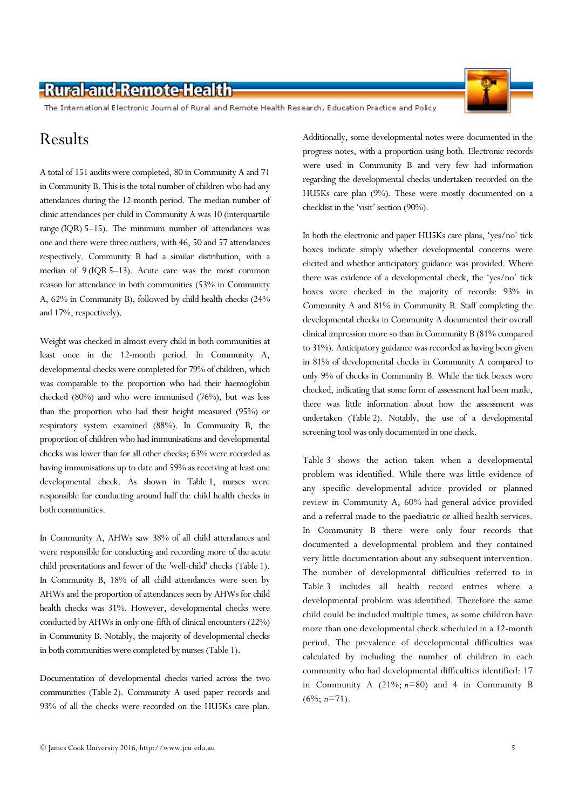The International Electronic Journal of Rural and Remote Health Research, Education Practice and Policy

### Results

A total of 151 audits were completed, 80 in Community A and 71 in Community B. This is the total number of children who had any attendances during the 12-month period. The median number of clinic attendances per child in Community A was 10 (interquartile range (IQR) 5–15). The minimum number of attendances was one and there were three outliers, with 46, 50 and 57 attendances respectively. Community B had a similar distribution, with a median of 9 (IQR 5–13). Acute care was the most common reason for attendance in both communities (53% in Community A, 62% in Community B), followed by child health checks (24% and 17%, respectively).

Weight was checked in almost every child in both communities at least once in the 12-month period. In Community A, developmental checks were completed for 79% of children, which was comparable to the proportion who had their haemoglobin checked (80%) and who were immunised (76%), but was less than the proportion who had their height measured (95%) or respiratory system examined (88%). In Community B, the proportion of children who had immunisations and developmental checks was lower than for all other checks; 63% were recorded as having immunisations up to date and 59% as receiving at least one developmental check. As shown in Table 1, nurses were responsible for conducting around half the child health checks in both communities.

In Community A, AHWs saw 38% of all child attendances and were responsible for conducting and recording more of the acute child presentations and fewer of the 'well-child' checks (Table 1). In Community B, 18% of all child attendances were seen by AHWs and the proportion of attendances seen by AHWs for child health checks was 31%. However, developmental checks were conducted by AHWs in only one-fifth of clinical encounters (22%) in Community B. Notably, the majority of developmental checks in both communities were completed by nurses (Table 1).

Documentation of developmental checks varied across the two communities (Table 2). Community A used paper records and 93% of all the checks were recorded on the HU5Ks care plan.

Additionally, some developmental notes were documented in the progress notes, with a proportion using both. Electronic records were used in Community B and very few had information regarding the developmental checks undertaken recorded on the HU5Ks care plan (9%). These were mostly documented on a checklist in the 'visit' section (90%).

In both the electronic and paper HU5Ks care plans, 'yes/no' tick boxes indicate simply whether developmental concerns were elicited and whether anticipatory guidance was provided. Where there was evidence of a developmental check, the 'yes/no' tick boxes were checked in the majority of records: 93% in Community A and 81% in Community B. Staff completing the developmental checks in Community A documented their overall clinical impression more so than in Community B (81% compared to 31%). Anticipatory guidance was recorded as having been given in 81% of developmental checks in Community A compared to only 9% of checks in Community B. While the tick boxes were checked, indicating that some form of assessment had been made, there was little information about how the assessment was undertaken (Table 2). Notably, the use of a developmental screening tool was only documented in one check.

Table 3 shows the action taken when a developmental problem was identified. While there was little evidence of any specific developmental advice provided or planned review in Community A, 60% had general advice provided and a referral made to the paediatric or allied health services. In Community B there were only four records that documented a developmental problem and they contained very little documentation about any subsequent intervention. The number of developmental difficulties referred to in Table 3 includes all health record entries where a developmental problem was identified. Therefore the same child could be included multiple times, as some children have more than one developmental check scheduled in a 12-month period. The prevalence of developmental difficulties was calculated by including the number of children in each community who had developmental difficulties identified: 17 in Community A  $(21\%; n=80)$  and 4 in Community B  $(6\%; n=71)$ .



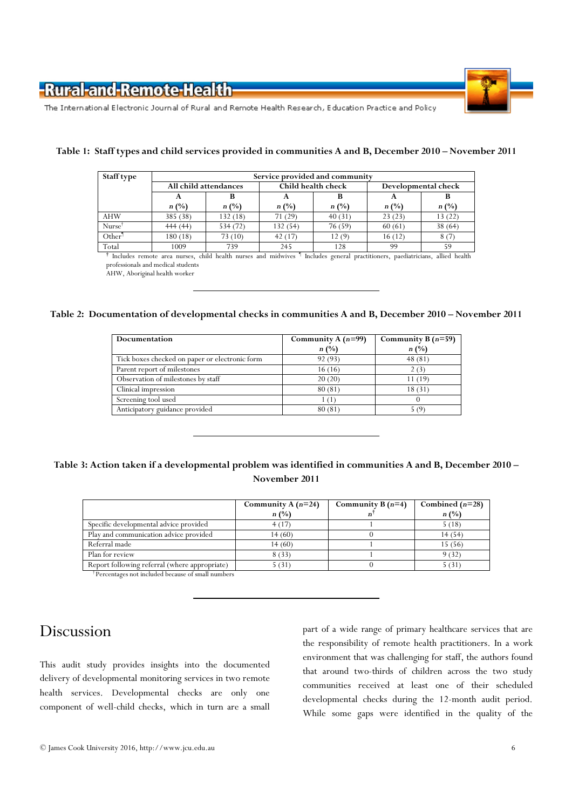

The International Electronic Journal of Rural and Remote Health Research, Education Practice and Policy

| Staff type         | Service provided and community |                |                    |         |                     |         |  |
|--------------------|--------------------------------|----------------|--------------------|---------|---------------------|---------|--|
|                    | All child attendances          |                | Child health check |         | Developmental check |         |  |
|                    | A                              |                |                    |         | А                   |         |  |
|                    | n(%)                           | $n(^{0}/_{0})$ | $n(^{0}/_{0})$     | n(%)    | n(%)                | $n(\%)$ |  |
| <b>AHW</b>         | 385 (38)                       | 132 (18)       | 71(29)             | 40(31)  | 23(23)              | 13(22)  |  |
| $Nurse^{\dagger}$  | 444(44)                        | 534 (72)       | 132 (54)           | 76 (59) | 60(61)              | 38(64)  |  |
| Other <sup>1</sup> | 180 (18)                       | 73(10)         | 42(17)             | 12(9)   | 16(12)              | 8(7)    |  |
| Total              | 1009                           | 739            | 245                | 128     | 99                  | 59      |  |

#### Table 1: Staff types and child services provided in communities A and B, December 2010 – November 2011

† Includes remote area nurses, child health nurses and midwives ¶ Includes general practitioners, paediatricians, allied health professionals and medical students

AHW, Aboriginal health worker

#### Table 2: Documentation of developmental checks in communities A and B, December 2010 – November 2011

| <b>Documentation</b>                           | Community A $(n=99)$ | Community B $(n=59)$ |
|------------------------------------------------|----------------------|----------------------|
|                                                | n(%)                 | $n(\%)$              |
| Tick boxes checked on paper or electronic form | 92 (93)              | 48(81)               |
| Parent report of milestones                    | 16(16)               | 2(3)                 |
| Observation of milestones by staff             | 20(20)               | 11 (19)              |
| Clinical impression                            | 80(81)               | 18(31)               |
| Screening tool used                            | 1 (1)                |                      |
| Anticipatory guidance provided                 | 80(81)               | 5 (9)                |

#### Table 3: Action taken if a developmental problem was identified in communities A and B, December 2010 – November 2011

|                                               | Community A $(n=24)$ | Community B $(n=4)$ | Combined $(n=28)$ |
|-----------------------------------------------|----------------------|---------------------|-------------------|
|                                               | $n(\%)$              |                     | $n(^{0}/_{0})$    |
| Specific developmental advice provided        | 4(17)                |                     | 5(18)             |
| Play and communication advice provided        | 14(60)               |                     | 14(54)            |
| Referral made                                 | 14(60)               |                     | 15(56)            |
| Plan for review                               | 8(33)                |                     | 9(32)             |
| Report following referral (where appropriate) | 5(31)                |                     | 5(31)             |

† Percentages not included because of small numbers

### Discussion

This audit study provides insights into the documented delivery of developmental monitoring services in two remote health services. Developmental checks are only one component of well-child checks, which in turn are a small part of a wide range of primary healthcare services that are the responsibility of remote health practitioners. In a work environment that was challenging for staff, the authors found that around two-thirds of children across the two study communities received at least one of their scheduled developmental checks during the 12-month audit period. While some gaps were identified in the quality of the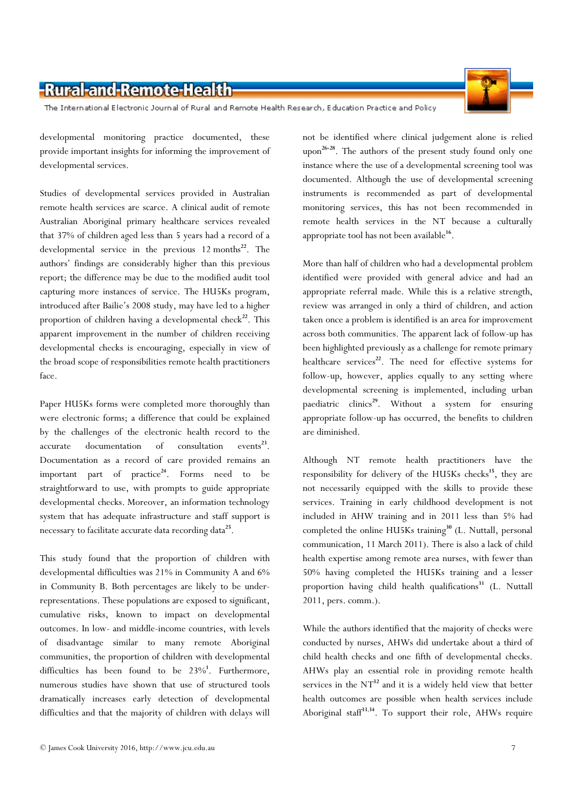The International Electronic Journal of Rural and Remote Health Research, Education Practice and Policy

developmental monitoring practice documented, these provide important insights for informing the improvement of developmental services.

Studies of developmental services provided in Australian remote health services are scarce. A clinical audit of remote Australian Aboriginal primary healthcare services revealed that 37% of children aged less than 5 years had a record of a developmental service in the previous  $12$  months<sup>22</sup>. The authors' findings are considerably higher than this previous report; the difference may be due to the modified audit tool capturing more instances of service. The HU5Ks program, introduced after Bailie's 2008 study, may have led to a higher proportion of children having a developmental check<sup>22</sup>. This apparent improvement in the number of children receiving developmental checks is encouraging, especially in view of the broad scope of responsibilities remote health practitioners face.

Paper HU5Ks forms were completed more thoroughly than were electronic forms; a difference that could be explained by the challenges of the electronic health record to the accurate documentation of consultation  $\text{events}^{23}$ . Documentation as a record of care provided remains an important part of practice<sup>24</sup>. Forms need to be straightforward to use, with prompts to guide appropriate developmental checks. Moreover, an information technology system that has adequate infrastructure and staff support is necessary to facilitate accurate data recording data<sup>25</sup>.

This study found that the proportion of children with developmental difficulties was 21% in Community A and 6% in Community B. Both percentages are likely to be underrepresentations. These populations are exposed to significant, cumulative risks, known to impact on developmental outcomes. In low- and middle-income countries, with levels of disadvantage similar to many remote Aboriginal communities, the proportion of children with developmental difficulties has been found to be  $23\%$ <sup>1</sup>. Furthermore, numerous studies have shown that use of structured tools dramatically increases early detection of developmental difficulties and that the majority of children with delays will

not be identified where clinical judgement alone is relied upon<sup>26-28</sup>. The authors of the present study found only one instance where the use of a developmental screening tool was documented. Although the use of developmental screening instruments is recommended as part of developmental monitoring services, this has not been recommended in remote health services in the NT because a culturally appropriate tool has not been available $^{16}$ .

More than half of children who had a developmental problem identified were provided with general advice and had an appropriate referral made. While this is a relative strength, review was arranged in only a third of children, and action taken once a problem is identified is an area for improvement across both communities. The apparent lack of follow-up has been highlighted previously as a challenge for remote primary healthcare services<sup>22</sup>. The need for effective systems for follow-up, however, applies equally to any setting where developmental screening is implemented, including urban paediatric clinics<sup>29</sup>. Without a system for ensuring appropriate follow-up has occurred, the benefits to children are diminished.

Although NT remote health practitioners have the responsibility for delivery of the HU5Ks checks<sup>15</sup>, they are not necessarily equipped with the skills to provide these services. Training in early childhood development is not included in AHW training and in 2011 less than 5% had completed the online HU5Ks training<sup>30</sup> (L. Nuttall, personal communication, 11 March 2011). There is also a lack of child health expertise among remote area nurses, with fewer than 50% having completed the HU5Ks training and a lesser proportion having child health qualifications<sup>31</sup> (L. Nuttall 2011, pers. comm.).

While the authors identified that the majority of checks were conducted by nurses, AHWs did undertake about a third of child health checks and one fifth of developmental checks. AHWs play an essential role in providing remote health services in the  $NT^{32}$  and it is a widely held view that better health outcomes are possible when health services include Aboriginal staff<sup>33,34</sup>. To support their role, AHWs require

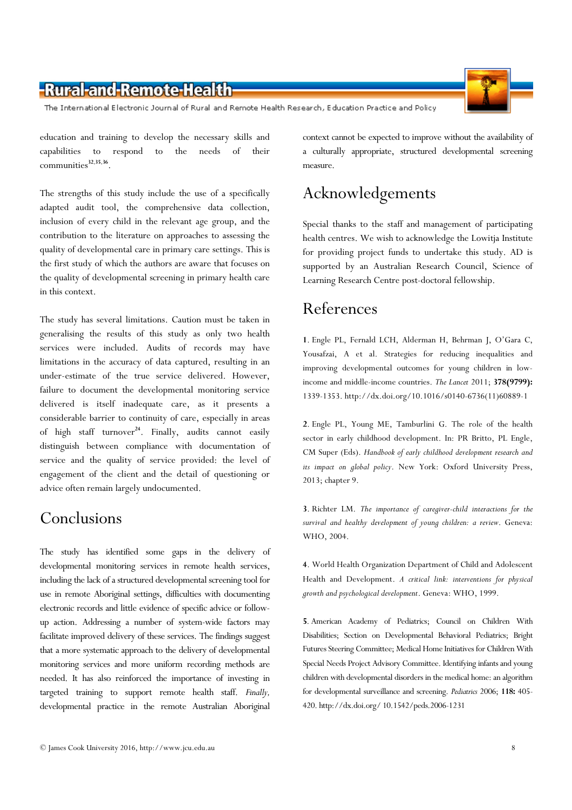The International Electronic Journal of Rural and Remote Health Research, Education Practice and Policy

education and training to develop the necessary skills and capabilities to respond to the needs of their communities<sup>32,35,36</sup>.

The strengths of this study include the use of a specifically adapted audit tool, the comprehensive data collection, inclusion of every child in the relevant age group, and the contribution to the literature on approaches to assessing the quality of developmental care in primary care settings. This is the first study of which the authors are aware that focuses on the quality of developmental screening in primary health care in this context.

The study has several limitations. Caution must be taken in generalising the results of this study as only two health services were included. Audits of records may have limitations in the accuracy of data captured, resulting in an under-estimate of the true service delivered. However, failure to document the developmental monitoring service delivered is itself inadequate care, as it presents a considerable barrier to continuity of care, especially in areas of high staff turnover<sup>24</sup>. Finally, audits cannot easily distinguish between compliance with documentation of service and the quality of service provided: the level of engagement of the client and the detail of questioning or advice often remain largely undocumented.

# Conclusions

The study has identified some gaps in the delivery of developmental monitoring services in remote health services, including the lack of a structured developmental screening tool for use in remote Aboriginal settings, difficulties with documenting electronic records and little evidence of specific advice or followup action. Addressing a number of system-wide factors may facilitate improved delivery of these services. The findings suggest that a more systematic approach to the delivery of developmental monitoring services and more uniform recording methods are needed. It has also reinforced the importance of investing in targeted training to support remote health staff. Finally, developmental practice in the remote Australian Aboriginal

context cannot be expected to improve without the availability of a culturally appropriate, structured developmental screening measure.

## Acknowledgements

Special thanks to the staff and management of participating health centres. We wish to acknowledge the Lowitja Institute for providing project funds to undertake this study. AD is supported by an Australian Research Council, Science of Learning Research Centre post-doctoral fellowship.

# References

1. Engle PL, Fernald LCH, Alderman H, Behrman J, O'Gara C, Yousafzai, A et al. Strategies for reducing inequalities and improving developmental outcomes for young children in lowincome and middle-income countries. The Lancet 2011; 378(9799): 1339-1353. http://dx.doi.org/10.1016/s0140-6736(11)60889-1

2. Engle PL, Young ME, Tamburlini G. The role of the health sector in early childhood development. In: PR Britto, PL Engle, CM Super (Eds). Handbook of early childhood development research and its impact on global policy. New York: Oxford University Press, 2013; chapter 9.

3. Richter LM. The importance of caregiver-child interactions for the survival and healthy development of young children: a review. Geneva: WHO, 2004.

4. World Health Organization Department of Child and Adolescent Health and Development. A critical link: interventions for physical growth and psychological development. Geneva: WHO, 1999.

5. American Academy of Pediatrics; Council on Children With Disabilities; Section on Developmental Behavioral Pediatrics; Bright Futures Steering Committee; Medical Home Initiatives for Children With Special Needs Project Advisory Committee. Identifying infants and young children with developmental disorders in the medical home: an algorithm for developmental surveillance and screening. Pediatrics 2006; 118: 405-420. http://dx.doi.org/ 10.1542/peds.2006-1231

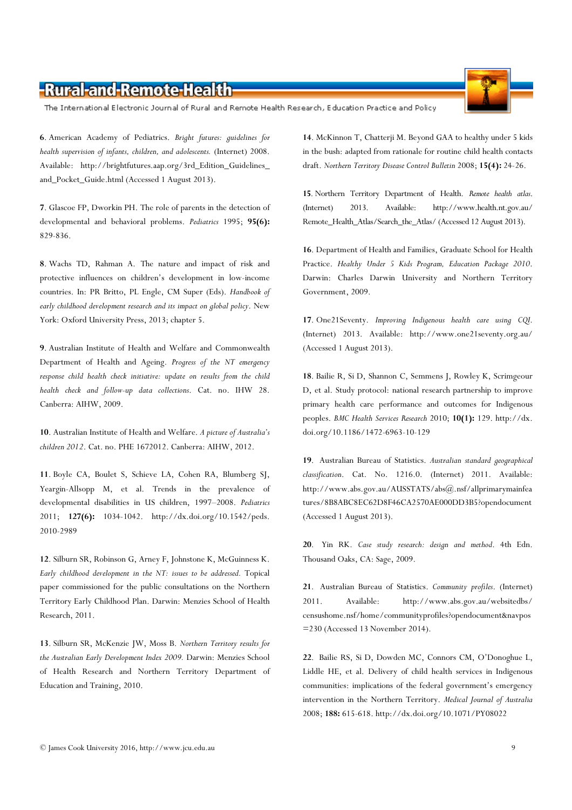The International Electronic Journal of Rural and Remote Health Research, Education Practice and Policy

6. American Academy of Pediatrics. Bright futures: guidelines for health supervision of infants, children, and adolescents. (Internet) 2008. Available: http://brightfutures.aap.org/3rd\_Edition\_Guidelines\_ and\_Pocket\_Guide.html (Accessed 1 August 2013).

7. Glascoe FP, Dworkin PH. The role of parents in the detection of developmental and behavioral problems. Pediatrics 1995; 95(6): 829-836.

8. Wachs TD, Rahman A. The nature and impact of risk and protective influences on children's development in low-income countries. In: PR Britto, PL Engle, CM Super (Eds). Handbook of early childhood development research and its impact on global policy. New York: Oxford University Press, 2013; chapter 5.

9. Australian Institute of Health and Welfare and Commonwealth Department of Health and Ageing. Progress of the NT emergency response child health check initiative: update on results from the child health check and follow-up data collections. Cat. no. IHW 28. Canberra: AIHW, 2009.

10. Australian Institute of Health and Welfare. A picture of Australia's children 2012. Cat. no. PHE 1672012. Canberra: AIHW, 2012.

11. Boyle CA, Boulet S, Schieve LA, Cohen RA, Blumberg SJ, Yeargin-Allsopp M, et al. Trends in the prevalence of developmental disabilities in US children, 1997–2008. Pediatrics 2011; 127(6): 1034-1042. http://dx.doi.org/10.1542/peds. 2010-2989

12. Silburn SR, Robinson G, Arney F, Johnstone K, McGuinness K. Early childhood development in the NT: issues to be addressed. Topical paper commissioned for the public consultations on the Northern Territory Early Childhood Plan. Darwin: Menzies School of Health Research, 2011.

13. Silburn SR, McKenzie JW, Moss B. Northern Territory results for the Australian Early Development Index 2009. Darwin: Menzies School of Health Research and Northern Territory Department of Education and Training, 2010.

14. McKinnon T, Chatterji M. Beyond GAA to healthy under 5 kids in the bush: adapted from rationale for routine child health contacts draft. Northern Territory Disease Control Bulletin 2008; 15(4): 24-26.

15. Northern Territory Department of Health. Remote health atlas. (Internet) 2013. Available: http://www.health.nt.gov.au/ Remote\_Health\_Atlas/Search\_the\_Atlas/ (Accessed 12 August 2013).

16. Department of Health and Families, Graduate School for Health Practice. Healthy Under 5 Kids Program, Education Package 2010. Darwin: Charles Darwin University and Northern Territory Government, 2009.

17. One21Seventy. Improving Indigenous health care using CQI. (Internet) 2013. Available: http://www.one21seventy.org.au/ (Accessed 1 August 2013).

18. Bailie R, Si D, Shannon C, Semmens J, Rowley K, Scrimgeour D, et al. Study protocol: national research partnership to improve primary health care performance and outcomes for Indigenous peoples. BMC Health Services Research 2010; 10(1): 129. http://dx. doi.org/10.1186/1472-6963-10-129

19. Australian Bureau of Statistics. Australian standard geographical classification. Cat. No. 1216.0. (Internet) 2011. Available: http://www.abs.gov.au/AUSSTATS/abs@.nsf/allprimarymainfea tures/8B8ABC8EC62D8F46CA2570AE000DD3B5?opendocument (Accessed 1 August 2013).

20. Yin RK. Case study research: design and method. 4th Edn. Thousand Oaks, CA: Sage, 2009.

21. Australian Bureau of Statistics. Community profiles. (Internet) 2011. Available: http://www.abs.gov.au/websitedbs/ censushome.nsf/home/communityprofiles?opendocument&navpos =230 (Accessed 13 November 2014).

22. Bailie RS, Si D, Dowden MC, Connors CM, O'Donoghue L, Liddle HE, et al. Delivery of child health services in Indigenous communities: implications of the federal government's emergency intervention in the Northern Territory. Medical Journal of Australia 2008; 188: 615-618. http://dx.doi.org/10.1071/PY08022